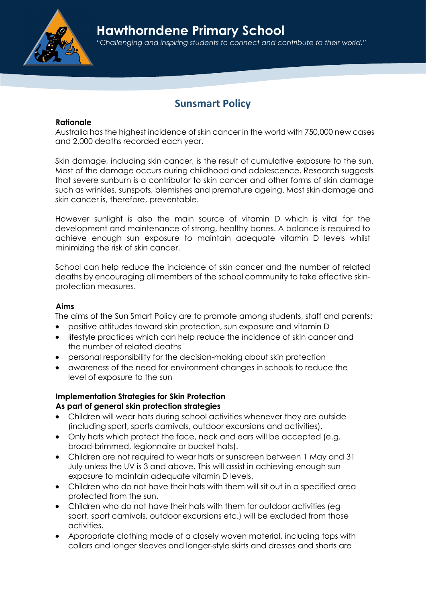Hawthorndene Primary School



"Challenging and inspiring students to connect and contribute to their world."

# Sunsmart Policy

#### Rationale

Australia has the highest incidence of skin cancer in the world with 750,000 new cases and 2,000 deaths recorded each year.

Skin damage, including skin cancer, is the result of cumulative exposure to the sun. Most of the damage occurs during childhood and adolescence. Research suggests that severe sunburn is a contributor to skin cancer and other forms of skin damage such as wrinkles, sunspots, blemishes and premature ageing. Most skin damage and skin cancer is, therefore, preventable.

However sunlight is also the main source of vitamin D which is vital for the development and maintenance of strong, healthy bones. A balance is required to achieve enough sun exposure to maintain adequate vitamin D levels whilst minimizing the risk of skin cancer.

School can help reduce the incidence of skin cancer and the number of related deaths by encouraging all members of the school community to take effective skinprotection measures.

#### Aims

The aims of the Sun Smart Policy are to promote among students, staff and parents:

- positive attitudes toward skin protection, sun exposure and vitamin D
- lifestyle practices which can help reduce the incidence of skin cancer and the number of related deaths
- personal responsibility for the decision-making about skin protection
- awareness of the need for environment changes in schools to reduce the level of exposure to the sun

## Implementation Strategies for Skin Protection

#### As part of general skin protection strategies

- Children will wear hats during school activities whenever they are outside (including sport, sports carnivals, outdoor excursions and activities).
- Only hats which protect the face, neck and ears will be accepted (e.g. broad-brimmed, legionnaire or bucket hats).
- Children are not required to wear hats or sunscreen between 1 May and 31 July unless the UV is 3 and above. This will assist in achieving enough sun exposure to maintain adequate vitamin D levels.
- Children who do not have their hats with them will sit out in a specified area protected from the sun.
- Children who do not have their hats with them for outdoor activities (eg sport, sport carnivals, outdoor excursions etc.) will be excluded from those activities.
- Appropriate clothing made of a closely woven material, including tops with collars and longer sleeves and longer-style skirts and dresses and shorts are